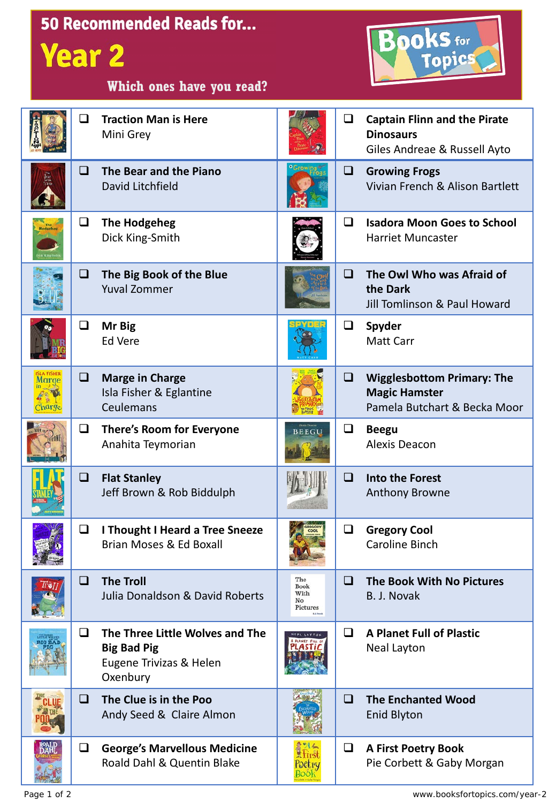| <b>Year 2</b>  |        | <b>50 Recommended Reads for</b><br>Which ones have you read?                                 |                                       |        | <b>OOKS</b> for<br>Topics                                                                 |
|----------------|--------|----------------------------------------------------------------------------------------------|---------------------------------------|--------|-------------------------------------------------------------------------------------------|
|                | Q      | <b>Traction Man is Here</b><br>Mini Grey                                                     |                                       | $\Box$ | <b>Captain Flinn and the Pirate</b><br><b>Dinosaurs</b><br>Giles Andreae & Russell Ayto   |
|                | ப      | The Bear and the Piano<br>David Litchfield                                                   |                                       | $\Box$ | <b>Growing Frogs</b><br>Vivian French & Alison Bartlett                                   |
|                | $\Box$ | <b>The Hodgeheg</b><br>Dick King-Smith                                                       |                                       | ❏      | <b>Isadora Moon Goes to School</b><br><b>Harriet Muncaster</b>                            |
|                | O      | The Big Book of the Blue<br><b>Yuval Zommer</b>                                              |                                       | ❏      | The Owl Who was Afraid of<br>the Dark<br>Jill Tomlinson & Paul Howard                     |
|                | $\Box$ | Mr Big<br><b>Ed Vere</b>                                                                     |                                       | $\Box$ | Spyder<br><b>Matt Carr</b>                                                                |
| Charge         | ❏      | <b>Marge in Charge</b><br>Isla Fisher & Eglantine<br>Ceulemans                               |                                       | $\Box$ | <b>Wigglesbottom Primary: The</b><br><b>Magic Hamster</b><br>Pamela Butchart & Becka Moor |
|                | Q.     | There's Room for Everyone<br>Anahita Teymorian                                               | <b>BEEGU</b>                          | $\Box$ | <b>Beegu</b><br><b>Alexis Deacon</b>                                                      |
|                |        | $\Box$ Flat Stanley<br>Jeff Brown & Rob Biddulph                                             | <b>KEY WYHER</b>                      |        | $\Box$ Into the Forest<br><b>Anthony Browne</b>                                           |
|                | Q.     | I Thought I Heard a Tree Sneeze<br>Brian Moses & Ed Boxall                                   |                                       | $\Box$ | <b>Gregory Cool</b><br><b>Caroline Binch</b>                                              |
| /@`            | ❏      | <b>The Troll</b><br>Julia Donaldson & David Roberts                                          | The<br>Book<br>With<br>No<br>Pictures | □      | The Book With No Pictures<br>B. J. Novak                                                  |
|                | ❏      | The Three Little Wolves and The<br><b>Big Bad Pig</b><br>Eugene Trivizas & Helen<br>Oxenbury |                                       | ❏      | <b>A Planet Full of Plastic</b><br>Neal Layton                                            |
|                | ◻      | The Clue is in the Poo<br>Andy Seed & Claire Almon                                           |                                       | ❏      | <b>The Enchanted Wood</b><br><b>Enid Blyton</b>                                           |
| RUALLI<br>DAHI | $\Box$ | <b>George's Marvellous Medicine</b><br>Roald Dahl & Quentin Blake                            | Poetry<br>Book                        | $\Box$ | <b>A First Poetry Book</b><br>Pie Corbett & Gaby Morgan                                   |